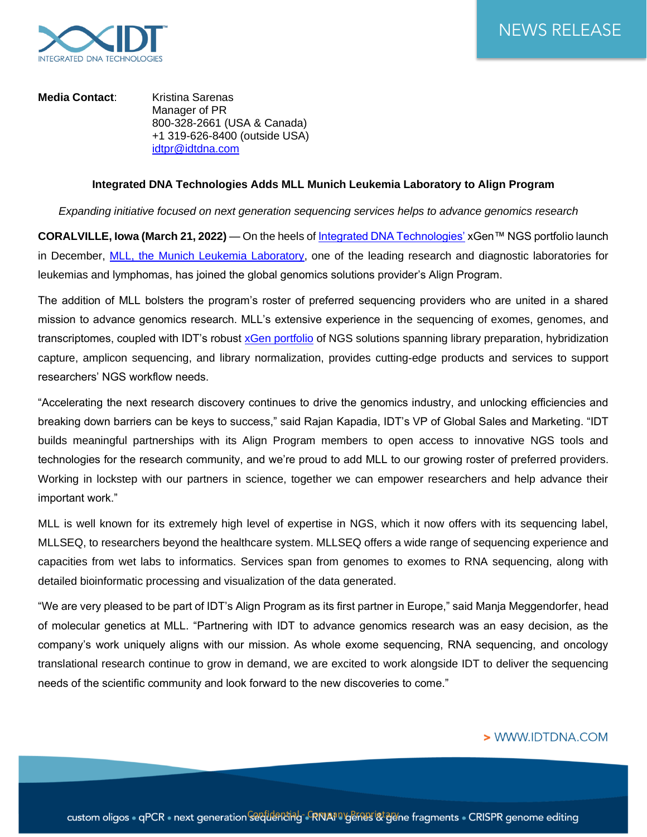

**Media Contact:** Kristina Sarenas Manager of PR 800-328-2661 (USA & Canada) +1 319-626-8400 (outside USA) [idtpr@idtdna.com](mailto:idtpr@idtdna.com)

## **Integrated DNA Technologies Adds MLL Munich Leukemia Laboratory to Align Program**

*Expanding initiative focused on next generation sequencing services helps to advance genomics research*

**CORALVILLE, Iowa (March 21, 2022)** — On the heels o[f Integrated DNA Technologies'](https://idtb.io/z1cx10) xGen™ NGS portfolio launch in December, [MLL, the Munich Leukemia Laboratory,](https://mll.com/) one of the leading research and diagnostic laboratories for leukemias and lymphomas, has joined the global genomics solutions provider's Align Program.

The addition of MLL bolsters the program's roster of preferred sequencing providers who are united in a shared mission to advance genomics research. MLL's extensive experience in the sequencing of exomes, genomes, and transcriptomes, coupled with IDT's robust [xGen portfolio](https://idtb.io/lltnok) of NGS solutions spanning library preparation, hybridization capture, amplicon sequencing, and library normalization, provides cutting-edge products and services to support researchers' NGS workflow needs.

"Accelerating the next research discovery continues to drive the genomics industry, and unlocking efficiencies and breaking down barriers can be keys to success," said Rajan Kapadia, IDT's VP of Global Sales and Marketing. "IDT builds meaningful partnerships with its Align Program members to open access to innovative NGS tools and technologies for the research community, and we're proud to add MLL to our growing roster of preferred providers. Working in lockstep with our partners in science, together we can empower researchers and help advance their important work."

MLL is well known for its extremely high level of expertise in NGS, which it now offers with its sequencing label, MLLSEQ, to researchers beyond the healthcare system. MLLSEQ offers a wide range of sequencing experience and capacities from wet labs to informatics. Services span from genomes to exomes to RNA sequencing, along with detailed bioinformatic processing and visualization of the data generated.

"We are very pleased to be part of IDT's Align Program as its first partner in Europe," said Manja Meggendorfer, head of molecular genetics at MLL. "Partnering with IDT to advance genomics research was an easy decision, as the company's work uniquely aligns with our mission. As whole exome sequencing, RNA sequencing, and oncology translational research continue to grow in demand, we are excited to work alongside IDT to deliver the sequencing needs of the scientific community and look forward to the new discoveries to come."

> WWW.IDTDNA.COM